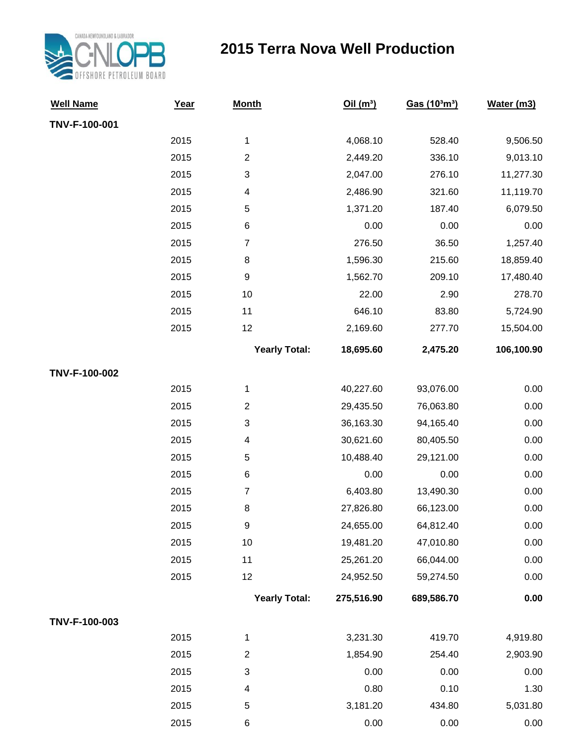

## **2015 Terra Nova Well Production**

| <b>Well Name</b> | Year | <b>Month</b>              | Oil(m <sup>3</sup> ) | Gas (10 <sup>3</sup> m <sup>3</sup> ) | Water (m3) |
|------------------|------|---------------------------|----------------------|---------------------------------------|------------|
| TNV-F-100-001    |      |                           |                      |                                       |            |
|                  | 2015 | 1                         | 4,068.10             | 528.40                                | 9,506.50   |
|                  | 2015 | $\boldsymbol{2}$          | 2,449.20             | 336.10                                | 9,013.10   |
|                  | 2015 | $\ensuremath{\mathsf{3}}$ | 2,047.00             | 276.10                                | 11,277.30  |
|                  | 2015 | $\overline{\mathcal{A}}$  | 2,486.90             | 321.60                                | 11,119.70  |
|                  | 2015 | $\,$ 5 $\,$               | 1,371.20             | 187.40                                | 6,079.50   |
|                  | 2015 | $\,6$                     | 0.00                 | 0.00                                  | 0.00       |
|                  | 2015 | $\overline{7}$            | 276.50               | 36.50                                 | 1,257.40   |
|                  | 2015 | $\,8\,$                   | 1,596.30             | 215.60                                | 18,859.40  |
|                  | 2015 | $\boldsymbol{9}$          | 1,562.70             | 209.10                                | 17,480.40  |
|                  | 2015 | 10                        | 22.00                | 2.90                                  | 278.70     |
|                  | 2015 | 11                        | 646.10               | 83.80                                 | 5,724.90   |
|                  | 2015 | 12                        | 2,169.60             | 277.70                                | 15,504.00  |
|                  |      | <b>Yearly Total:</b>      | 18,695.60            | 2,475.20                              | 106,100.90 |
| TNV-F-100-002    |      |                           |                      |                                       |            |
|                  | 2015 | 1                         | 40,227.60            | 93,076.00                             | 0.00       |
|                  | 2015 | $\boldsymbol{2}$          | 29,435.50            | 76,063.80                             | 0.00       |
|                  | 2015 | 3                         | 36,163.30            | 94,165.40                             | 0.00       |
|                  | 2015 | $\overline{\mathcal{A}}$  | 30,621.60            | 80,405.50                             | 0.00       |
|                  | 2015 | $\,$ 5 $\,$               | 10,488.40            | 29,121.00                             | 0.00       |
|                  | 2015 | $\,6$                     | 0.00                 | 0.00                                  | 0.00       |
|                  | 2015 | $\overline{7}$            | 6,403.80             | 13,490.30                             | 0.00       |
|                  | 2015 | $\,8\,$                   | 27,826.80            | 66,123.00                             | 0.00       |
|                  | 2015 | $\boldsymbol{9}$          | 24,655.00            | 64,812.40                             | 0.00       |
|                  | 2015 | $10$                      | 19,481.20            | 47,010.80                             | 0.00       |
|                  | 2015 | 11                        | 25,261.20            | 66,044.00                             | 0.00       |
|                  | 2015 | 12                        | 24,952.50            | 59,274.50                             | 0.00       |
|                  |      | <b>Yearly Total:</b>      | 275,516.90           | 689,586.70                            | 0.00       |
| TNV-F-100-003    |      |                           |                      |                                       |            |
|                  | 2015 | 1                         | 3,231.30             | 419.70                                | 4,919.80   |
|                  | 2015 | $\overline{c}$            | 1,854.90             | 254.40                                | 2,903.90   |
|                  | 2015 | $\ensuremath{\mathsf{3}}$ | 0.00                 | 0.00                                  | 0.00       |
|                  | 2015 | 4                         | 0.80                 | 0.10                                  | 1.30       |
|                  | 2015 | $\,$ 5 $\,$               | 3,181.20             | 434.80                                | 5,031.80   |
|                  | 2015 | 6                         | 0.00                 | 0.00                                  | 0.00       |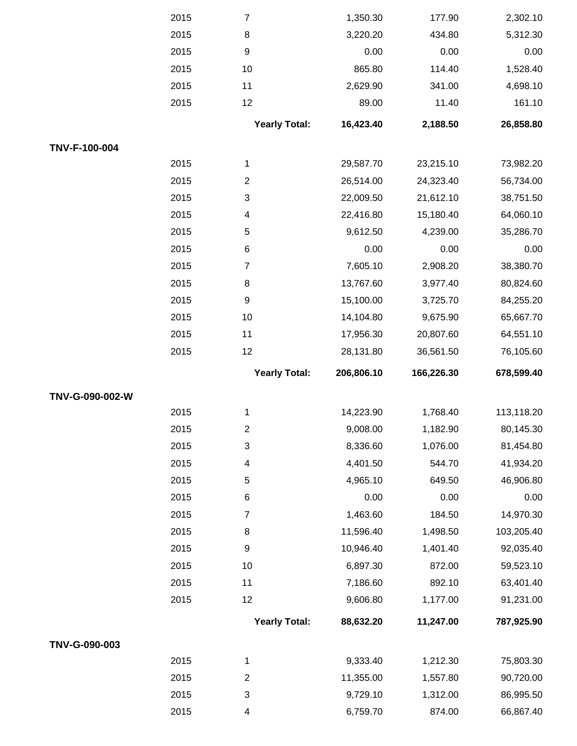|                 | 2015 | $\overline{7}$       | 1,350.30   | 177.90     | 2,302.10   |
|-----------------|------|----------------------|------------|------------|------------|
|                 | 2015 | 8                    | 3,220.20   | 434.80     | 5,312.30   |
|                 | 2015 | 9                    | 0.00       | 0.00       | 0.00       |
|                 | 2015 | 10                   | 865.80     | 114.40     | 1,528.40   |
|                 | 2015 | 11                   | 2,629.90   | 341.00     | 4,698.10   |
|                 | 2015 | 12                   | 89.00      | 11.40      | 161.10     |
|                 |      | <b>Yearly Total:</b> | 16,423.40  | 2,188.50   | 26,858.80  |
| TNV-F-100-004   |      |                      |            |            |            |
|                 | 2015 | 1                    | 29,587.70  | 23,215.10  | 73,982.20  |
|                 | 2015 | $\overline{2}$       | 26,514.00  | 24,323.40  | 56,734.00  |
|                 | 2015 | 3                    | 22,009.50  | 21,612.10  | 38,751.50  |
|                 | 2015 | 4                    | 22,416.80  | 15,180.40  | 64,060.10  |
|                 | 2015 | 5                    | 9,612.50   | 4,239.00   | 35,286.70  |
|                 | 2015 | 6                    | 0.00       | 0.00       | 0.00       |
|                 | 2015 | $\overline{7}$       | 7,605.10   | 2,908.20   | 38,380.70  |
|                 | 2015 | 8                    | 13,767.60  | 3,977.40   | 80,824.60  |
|                 | 2015 | $\boldsymbol{9}$     | 15,100.00  | 3,725.70   | 84,255.20  |
|                 | 2015 | 10                   | 14,104.80  | 9,675.90   | 65,667.70  |
|                 | 2015 | 11                   | 17,956.30  | 20,807.60  | 64,551.10  |
|                 | 2015 | 12                   | 28,131.80  | 36,561.50  | 76,105.60  |
|                 |      | <b>Yearly Total:</b> | 206,806.10 | 166,226.30 | 678,599.40 |
| TNV-G-090-002-W |      |                      |            |            |            |
|                 | 2015 | 1                    | 14,223.90  | 1,768.40   | 113,118.20 |
|                 | 2015 | $\overline{c}$       | 9,008.00   | 1,182.90   | 80,145.30  |
|                 | 2015 | 3                    | 8,336.60   | 1,076.00   | 81,454.80  |
|                 | 2015 | 4                    | 4,401.50   | 544.70     | 41,934.20  |
|                 | 2015 | 5                    | 4,965.10   | 649.50     | 46,906.80  |
|                 | 2015 | 6                    | 0.00       | 0.00       | 0.00       |
|                 | 2015 | $\overline{7}$       | 1,463.60   | 184.50     | 14,970.30  |
|                 | 2015 | 8                    | 11,596.40  | 1,498.50   | 103,205.40 |
|                 | 2015 | 9                    | 10,946.40  | 1,401.40   | 92,035.40  |
|                 | 2015 | 10                   | 6,897.30   | 872.00     | 59,523.10  |
|                 | 2015 | 11                   | 7,186.60   | 892.10     | 63,401.40  |
|                 | 2015 | 12                   | 9,606.80   | 1,177.00   | 91,231.00  |
|                 |      | <b>Yearly Total:</b> | 88,632.20  | 11,247.00  | 787,925.90 |
| TNV-G-090-003   |      |                      |            |            |            |
|                 | 2015 | 1                    | 9,333.40   | 1,212.30   | 75,803.30  |
|                 | 2015 | $\overline{2}$       | 11,355.00  | 1,557.80   | 90,720.00  |
|                 |      |                      |            |            |            |
|                 | 2015 | 3                    | 9,729.10   | 1,312.00   | 86,995.50  |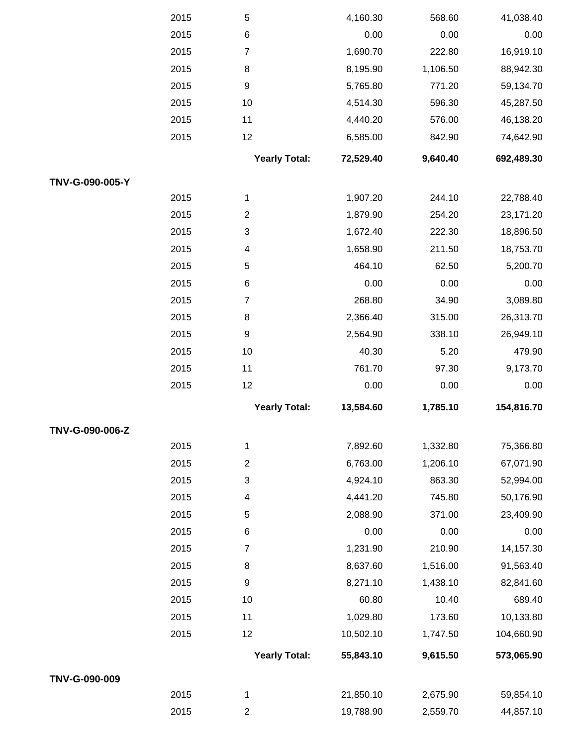|                 | 2015 | 5                        | 4,160.30  | 568.60   | 41,038.40  |
|-----------------|------|--------------------------|-----------|----------|------------|
|                 | 2015 | $\,6$                    | 0.00      | 0.00     | 0.00       |
|                 | 2015 | $\overline{7}$           | 1,690.70  | 222.80   | 16,919.10  |
|                 | 2015 | $\,8\,$                  | 8,195.90  | 1,106.50 | 88,942.30  |
|                 | 2015 | $\boldsymbol{9}$         | 5,765.80  | 771.20   | 59,134.70  |
|                 | 2015 | 10                       | 4,514.30  | 596.30   | 45,287.50  |
|                 | 2015 | 11                       | 4,440.20  | 576.00   | 46,138.20  |
|                 | 2015 | 12                       | 6,585.00  | 842.90   | 74,642.90  |
|                 |      | <b>Yearly Total:</b>     | 72,529.40 | 9,640.40 | 692,489.30 |
| TNV-G-090-005-Y |      |                          |           |          |            |
|                 | 2015 | 1                        | 1,907.20  | 244.10   | 22,788.40  |
|                 | 2015 | $\overline{2}$           | 1,879.90  | 254.20   | 23,171.20  |
|                 | 2015 | $\sqrt{3}$               | 1,672.40  | 222.30   | 18,896.50  |
|                 | 2015 | $\overline{\mathcal{A}}$ | 1,658.90  | 211.50   | 18,753.70  |
|                 | 2015 | 5                        | 464.10    | 62.50    | 5,200.70   |
|                 | 2015 | $\,6$                    | 0.00      | 0.00     | 0.00       |
|                 | 2015 | $\overline{7}$           | 268.80    | 34.90    | 3,089.80   |
|                 | 2015 | $\,8\,$                  | 2,366.40  | 315.00   | 26,313.70  |
|                 | 2015 | $\boldsymbol{9}$         | 2,564.90  | 338.10   | 26,949.10  |
|                 | 2015 | 10                       | 40.30     | 5.20     | 479.90     |
|                 | 2015 | 11                       | 761.70    | 97.30    | 9,173.70   |
|                 | 2015 | 12                       | 0.00      | 0.00     | 0.00       |
|                 |      | <b>Yearly Total:</b>     | 13,584.60 | 1,785.10 | 154,816.70 |
| TNV-G-090-006-Z |      |                          |           |          |            |
|                 | 2015 | 1                        | 7,892.60  | 1,332.80 | 75,366.80  |
|                 | 2015 | $\mathbf{2}$             | 6,763.00  | 1,206.10 | 67,071.90  |
|                 | 2015 | $\sqrt{3}$               | 4,924.10  | 863.30   | 52,994.00  |
|                 | 2015 | 4                        | 4,441.20  | 745.80   | 50,176.90  |
|                 | 2015 | 5                        | 2,088.90  | 371.00   | 23,409.90  |
|                 | 2015 | $\,6$                    | 0.00      | 0.00     | 0.00       |
|                 | 2015 | $\overline{7}$           | 1,231.90  | 210.90   | 14,157.30  |
|                 | 2015 | 8                        | 8,637.60  | 1,516.00 | 91,563.40  |
|                 | 2015 | 9                        | 8,271.10  | 1,438.10 | 82,841.60  |
|                 | 2015 | 10                       | 60.80     | 10.40    | 689.40     |
|                 | 2015 | 11                       | 1,029.80  | 173.60   | 10,133.80  |
|                 | 2015 | 12                       | 10,502.10 | 1,747.50 | 104,660.90 |
|                 |      | <b>Yearly Total:</b>     | 55,843.10 | 9,615.50 | 573,065.90 |
| TNV-G-090-009   |      |                          |           |          |            |
|                 | 2015 | 1                        | 21,850.10 | 2,675.90 | 59,854.10  |
|                 | 2015 | $\overline{c}$           | 19,788.90 | 2,559.70 | 44,857.10  |
|                 |      |                          |           |          |            |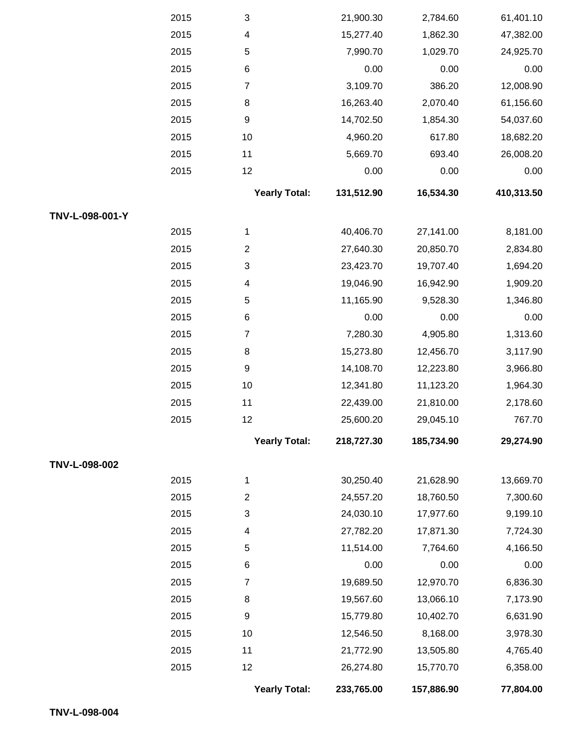|                 | 2015 | 3                         | 21,900.30  | 2,784.60   | 61,401.10  |
|-----------------|------|---------------------------|------------|------------|------------|
|                 | 2015 | 4                         | 15,277.40  | 1,862.30   | 47,382.00  |
|                 | 2015 | $\,$ 5 $\,$               | 7,990.70   | 1,029.70   | 24,925.70  |
|                 | 2015 | $\,6$                     | 0.00       | 0.00       | 0.00       |
|                 | 2015 | $\boldsymbol{7}$          | 3,109.70   | 386.20     | 12,008.90  |
|                 | 2015 | 8                         | 16,263.40  | 2,070.40   | 61,156.60  |
|                 | 2015 | $\boldsymbol{9}$          | 14,702.50  | 1,854.30   | 54,037.60  |
|                 | 2015 | 10                        | 4,960.20   | 617.80     | 18,682.20  |
|                 | 2015 | 11                        | 5,669.70   | 693.40     | 26,008.20  |
|                 | 2015 | 12                        | 0.00       | 0.00       | 0.00       |
|                 |      | <b>Yearly Total:</b>      | 131,512.90 | 16,534.30  | 410,313.50 |
| TNV-L-098-001-Y |      |                           |            |            |            |
|                 | 2015 | 1                         | 40,406.70  | 27,141.00  | 8,181.00   |
|                 | 2015 | $\overline{c}$            | 27,640.30  | 20,850.70  | 2,834.80   |
|                 | 2015 | $\ensuremath{\mathsf{3}}$ | 23,423.70  | 19,707.40  | 1,694.20   |
|                 | 2015 | 4                         | 19,046.90  | 16,942.90  | 1,909.20   |
|                 | 2015 | $\,$ 5 $\,$               | 11,165.90  | 9,528.30   | 1,346.80   |
|                 | 2015 | 6                         | 0.00       | 0.00       | 0.00       |
|                 | 2015 | $\boldsymbol{7}$          | 7,280.30   | 4,905.80   | 1,313.60   |
|                 | 2015 | 8                         | 15,273.80  | 12,456.70  | 3,117.90   |
|                 | 2015 | $\boldsymbol{9}$          | 14,108.70  | 12,223.80  | 3,966.80   |
|                 | 2015 | 10                        | 12,341.80  | 11,123.20  | 1,964.30   |
|                 | 2015 | 11                        | 22,439.00  | 21,810.00  | 2,178.60   |
|                 | 2015 | 12                        | 25,600.20  | 29,045.10  | 767.70     |
|                 |      | <b>Yearly Total:</b>      | 218,727.30 | 185,734.90 | 29,274.90  |
| TNV-L-098-002   |      |                           |            |            |            |
|                 | 2015 | 1                         | 30,250.40  | 21,628.90  | 13,669.70  |
|                 | 2015 | $\overline{c}$            | 24,557.20  | 18,760.50  | 7,300.60   |
|                 | 2015 | 3                         | 24,030.10  | 17,977.60  | 9,199.10   |
|                 | 2015 | 4                         | 27,782.20  | 17,871.30  | 7,724.30   |
|                 | 2015 | $\,$ 5 $\,$               | 11,514.00  | 7,764.60   | 4,166.50   |
|                 | 2015 | 6                         | 0.00       | 0.00       | 0.00       |
|                 | 2015 | $\boldsymbol{7}$          | 19,689.50  | 12,970.70  | 6,836.30   |
|                 | 2015 | 8                         | 19,567.60  | 13,066.10  | 7,173.90   |
|                 | 2015 | 9                         | 15,779.80  | 10,402.70  | 6,631.90   |
|                 | 2015 | 10                        | 12,546.50  | 8,168.00   | 3,978.30   |
|                 | 2015 | 11                        | 21,772.90  | 13,505.80  | 4,765.40   |
|                 | 2015 | 12                        | 26,274.80  | 15,770.70  | 6,358.00   |
|                 |      | <b>Yearly Total:</b>      | 233,765.00 | 157,886.90 | 77,804.00  |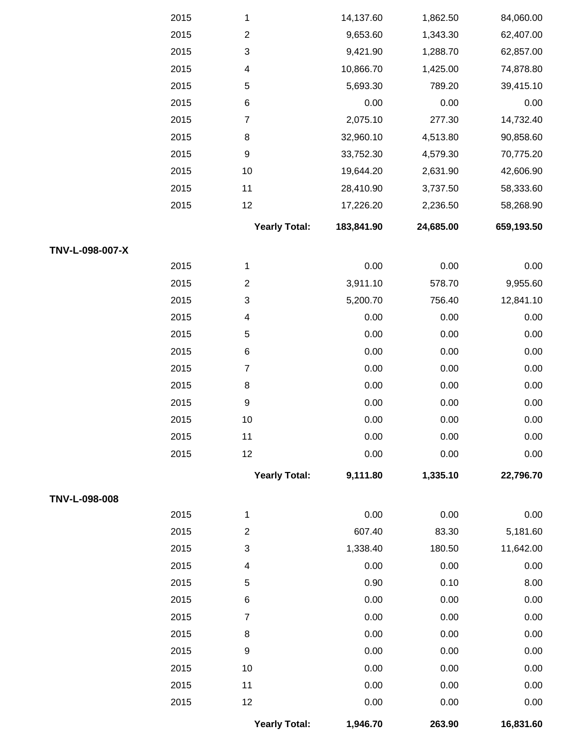|                 | 2015 | 1                         | 14,137.60  | 1,862.50  | 84,060.00  |
|-----------------|------|---------------------------|------------|-----------|------------|
|                 | 2015 | $\overline{c}$            | 9,653.60   | 1,343.30  | 62,407.00  |
|                 | 2015 | $\ensuremath{\mathsf{3}}$ | 9,421.90   | 1,288.70  | 62,857.00  |
|                 | 2015 | $\overline{\mathbf{4}}$   | 10,866.70  | 1,425.00  | 74,878.80  |
|                 | 2015 | $\mathbf 5$               | 5,693.30   | 789.20    | 39,415.10  |
|                 | 2015 | 6                         | 0.00       | 0.00      | 0.00       |
|                 | 2015 | $\boldsymbol{7}$          | 2,075.10   | 277.30    | 14,732.40  |
|                 | 2015 | $\bf 8$                   | 32,960.10  | 4,513.80  | 90,858.60  |
|                 | 2015 | $\boldsymbol{9}$          | 33,752.30  | 4,579.30  | 70,775.20  |
|                 | 2015 | $10$                      | 19,644.20  | 2,631.90  | 42,606.90  |
|                 | 2015 | 11                        | 28,410.90  | 3,737.50  | 58,333.60  |
|                 | 2015 | 12                        | 17,226.20  | 2,236.50  | 58,268.90  |
|                 |      | <b>Yearly Total:</b>      | 183,841.90 | 24,685.00 | 659,193.50 |
| TNV-L-098-007-X |      |                           |            |           |            |
|                 | 2015 | 1                         | 0.00       | 0.00      | 0.00       |
|                 | 2015 | $\mathbf{2}$              | 3,911.10   | 578.70    | 9,955.60   |
|                 | 2015 | $\ensuremath{\mathsf{3}}$ | 5,200.70   | 756.40    | 12,841.10  |
|                 | 2015 | $\overline{4}$            | 0.00       | 0.00      | 0.00       |
|                 | 2015 | $\mathbf 5$               | 0.00       | 0.00      | 0.00       |
|                 | 2015 | 6                         | 0.00       | 0.00      | 0.00       |
|                 | 2015 | $\boldsymbol{7}$          | 0.00       | 0.00      | 0.00       |
|                 | 2015 | 8                         | 0.00       | 0.00      | 0.00       |
|                 | 2015 | $\mathsf g$               | 0.00       | 0.00      | 0.00       |
|                 | 2015 | $10$                      | 0.00       | 0.00      | 0.00       |
|                 | 2015 | 11                        | 0.00       | 0.00      | 0.00       |
|                 | 2015 | 12                        | 0.00       | 0.00      | 0.00       |
|                 |      | <b>Yearly Total:</b>      | 9,111.80   | 1,335.10  | 22,796.70  |
| TNV-L-098-008   |      |                           |            |           |            |
|                 | 2015 | 1                         | 0.00       | 0.00      | 0.00       |
|                 | 2015 | $\mathbf{2}$              | 607.40     | 83.30     | 5,181.60   |
|                 | 2015 | $\ensuremath{\mathsf{3}}$ | 1,338.40   | 180.50    | 11,642.00  |
|                 | 2015 | $\overline{4}$            | 0.00       | 0.00      | 0.00       |
|                 | 2015 | 5                         | 0.90       | 0.10      | 8.00       |
|                 | 2015 | 6                         | 0.00       | 0.00      | 0.00       |
|                 | 2015 | $\overline{7}$            | 0.00       | 0.00      | 0.00       |
|                 | 2015 | 8                         | 0.00       | 0.00      | 0.00       |
|                 | 2015 | $\boldsymbol{9}$          | 0.00       | 0.00      | 0.00       |
|                 | 2015 | 10                        | 0.00       | 0.00      | 0.00       |
|                 | 2015 | 11                        | 0.00       | 0.00      | 0.00       |
|                 | 2015 | 12                        | 0.00       | 0.00      | 0.00       |
|                 |      | <b>Yearly Total:</b>      | 1,946.70   | 263.90    | 16,831.60  |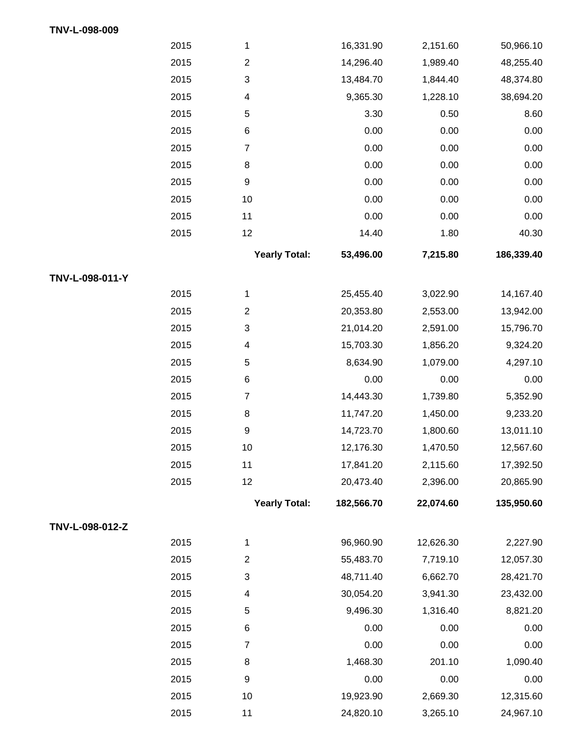|                 | 2015 | 1                    | 16,331.90  | 2,151.60  | 50,966.10  |
|-----------------|------|----------------------|------------|-----------|------------|
|                 | 2015 | $\boldsymbol{2}$     | 14,296.40  | 1,989.40  | 48,255.40  |
|                 | 2015 | $\sqrt{3}$           | 13,484.70  | 1,844.40  | 48,374.80  |
|                 | 2015 | 4                    | 9,365.30   | 1,228.10  | 38,694.20  |
|                 | 2015 | $\,$ 5 $\,$          | 3.30       | 0.50      | 8.60       |
|                 | 2015 | 6                    | 0.00       | 0.00      | 0.00       |
|                 | 2015 | $\overline{7}$       | 0.00       | 0.00      | 0.00       |
|                 | 2015 | 8                    | 0.00       | 0.00      | 0.00       |
|                 | 2015 | 9                    | 0.00       | 0.00      | 0.00       |
|                 | 2015 | $10$                 | 0.00       | 0.00      | 0.00       |
|                 | 2015 | 11                   | 0.00       | 0.00      | 0.00       |
|                 | 2015 | 12                   | 14.40      | 1.80      | 40.30      |
|                 |      | <b>Yearly Total:</b> | 53,496.00  | 7,215.80  | 186,339.40 |
| TNV-L-098-011-Y |      |                      |            |           |            |
|                 | 2015 | 1                    | 25,455.40  | 3,022.90  | 14,167.40  |
|                 | 2015 | $\mathbf{2}$         | 20,353.80  | 2,553.00  | 13,942.00  |
|                 | 2015 | $\sqrt{3}$           | 21,014.20  | 2,591.00  | 15,796.70  |
|                 | 2015 | 4                    | 15,703.30  | 1,856.20  | 9,324.20   |
|                 | 2015 | $\,$ 5 $\,$          | 8,634.90   | 1,079.00  | 4,297.10   |
|                 | 2015 | 6                    | 0.00       | 0.00      | 0.00       |
|                 | 2015 | $\overline{7}$       | 14,443.30  | 1,739.80  | 5,352.90   |
|                 | 2015 | 8                    | 11,747.20  | 1,450.00  | 9,233.20   |
|                 | 2015 | 9                    | 14,723.70  | 1,800.60  | 13,011.10  |
|                 | 2015 | $10$                 | 12,176.30  | 1,470.50  | 12,567.60  |
|                 | 2015 | 11                   | 17,841.20  | 2,115.60  | 17,392.50  |
|                 | 2015 | 12                   | 20,473.40  | 2,396.00  | 20,865.90  |
|                 |      | <b>Yearly Total:</b> | 182,566.70 | 22,074.60 | 135,950.60 |
| TNV-L-098-012-Z |      |                      |            |           |            |
|                 | 2015 | $\mathbf 1$          | 96,960.90  | 12,626.30 | 2,227.90   |
|                 | 2015 | $\overline{2}$       | 55,483.70  | 7,719.10  | 12,057.30  |
|                 | 2015 | $\sqrt{3}$           | 48,711.40  | 6,662.70  | 28,421.70  |
|                 | 2015 | 4                    | 30,054.20  | 3,941.30  | 23,432.00  |
|                 | 2015 | 5                    | 9,496.30   | 1,316.40  | 8,821.20   |
|                 | 2015 | 6                    | 0.00       | 0.00      | 0.00       |
|                 | 2015 | $\overline{7}$       | 0.00       | 0.00      | 0.00       |
|                 | 2015 | 8                    | 1,468.30   | 201.10    | 1,090.40   |
|                 | 2015 | 9                    | 0.00       | 0.00      | 0.00       |
|                 | 2015 | 10                   | 19,923.90  | 2,669.30  | 12,315.60  |

**TNV-L-098-009**

11 3,265.10 24,820.10 24,967.10